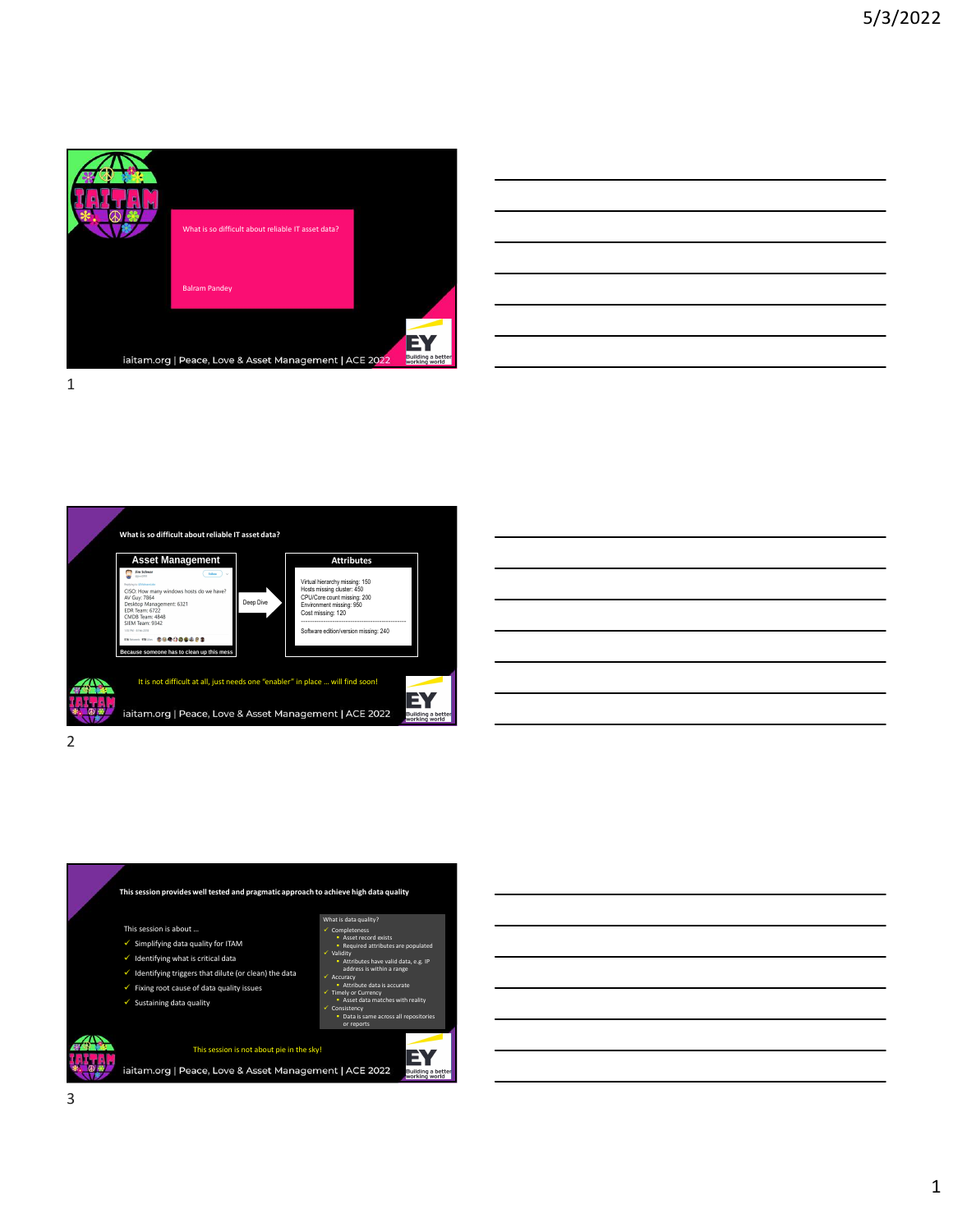

| E<br>Building a better <b>t.</b><br>vorking world |  |
|---------------------------------------------------|--|









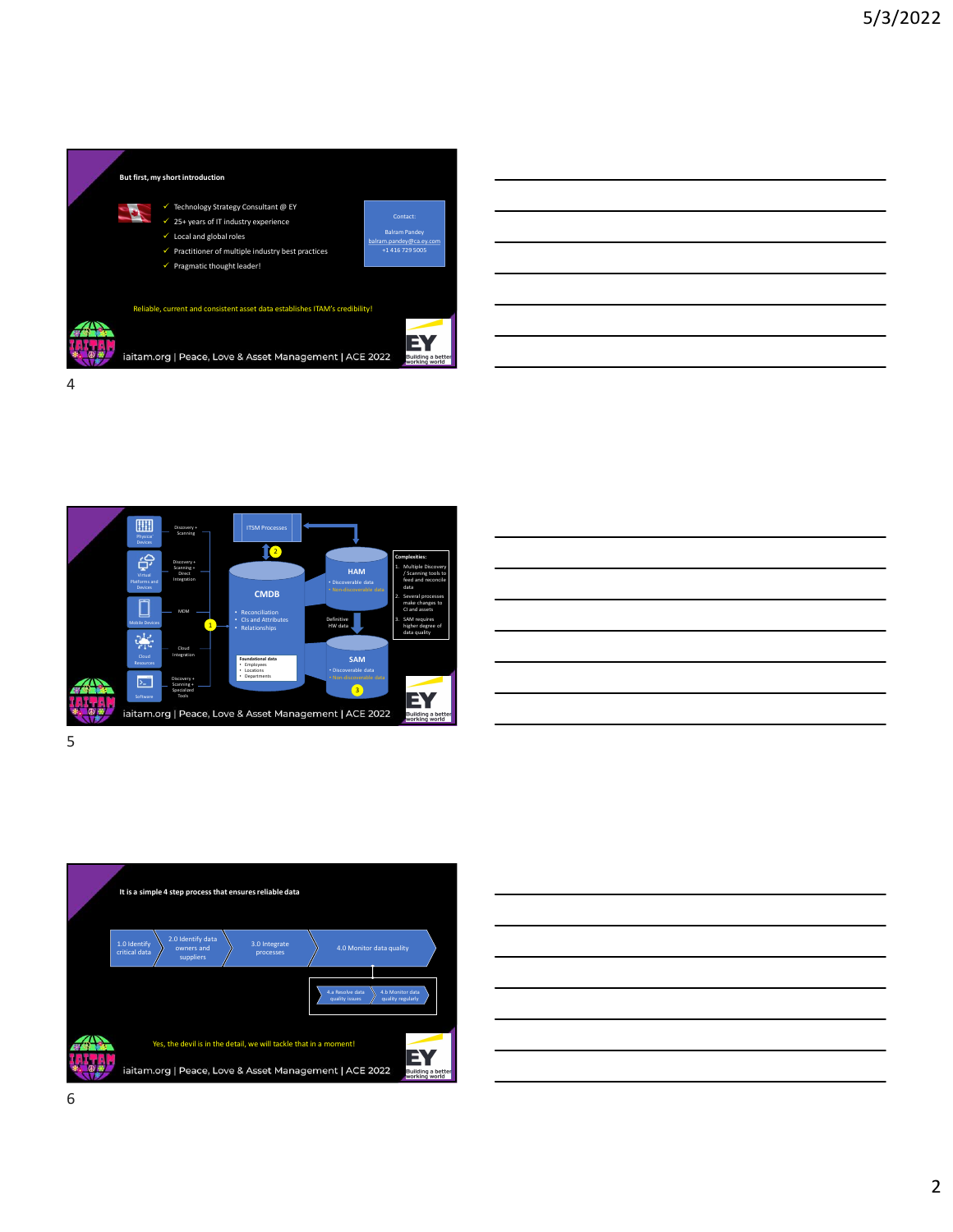





 $5<sub>5</sub>$ 



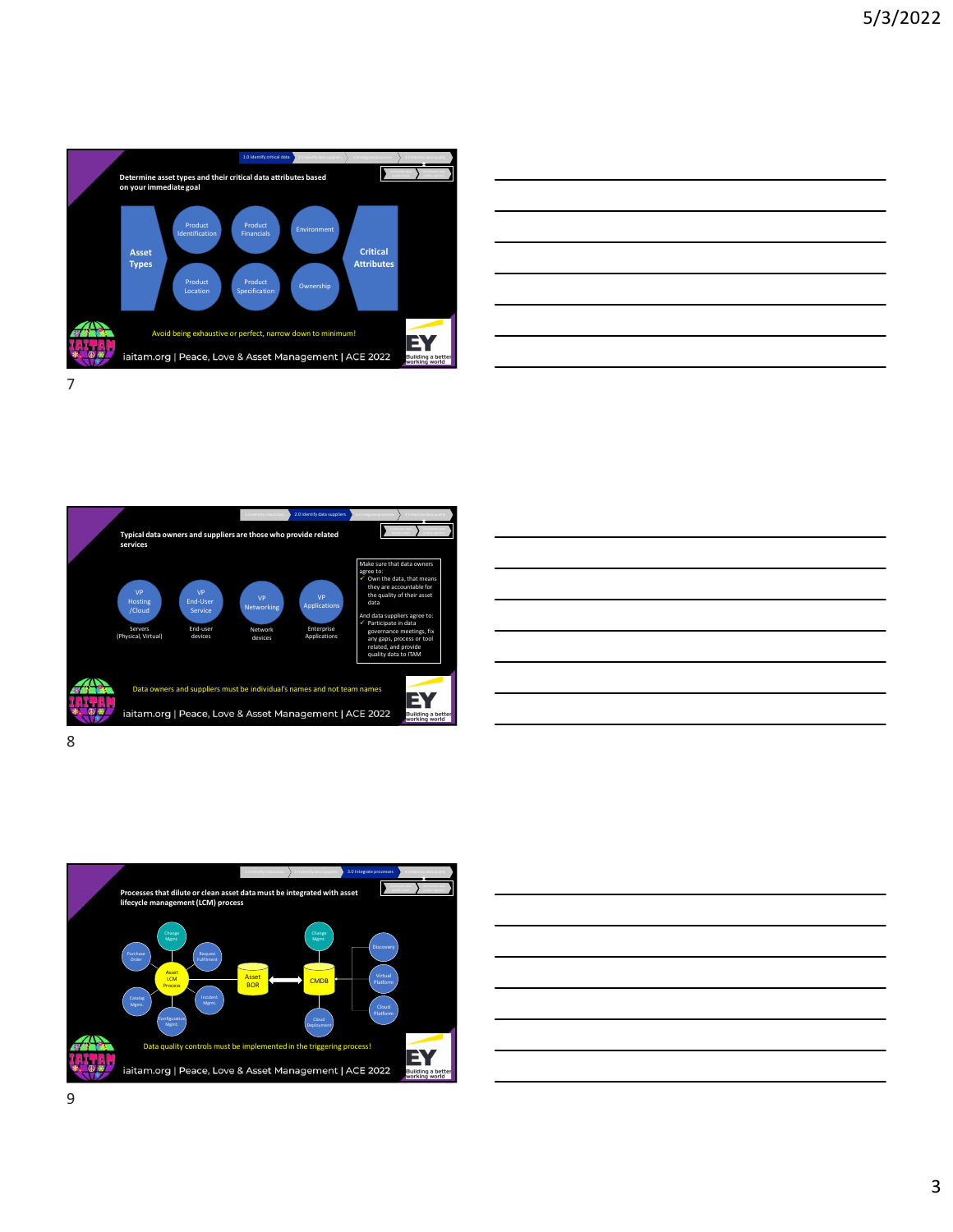



Data owners and suppliers must be individual's names and not team names<br>initam.org | Peace, Love & Asset Management | ACE 2022 Typical data owners and suppliers are those who provide related<br>services Make sure that data owners and the surface of the series of the series of the series of the series of the series of the series of the series of the series of the series of the series of the series of the series of the seri And data suppliers agree to: **Fig. 2.1.** The same of the same of the same of the same of the same of the same of the same of the same of the same of the same of the same of the same of the same of the same of the same of t VP VP VP VP the quality of the contract of the contract of the contract of the contract of the contract of the contract of the contract of the contract of the contract of the contract of the contract of the contract of the Cloud Service Networking Applications Servers End-user Network Enterprise VP<br>
VP<br>
Cloud<br>
Cloud<br>
Cloud<br>
Service<br>
Service<br>
Service<br>
Service<br>
Method and anasympliers agree to:<br>
VP<br>
Deplications<br>
Service<br>
Method anasympliers agree to:<br>
VP attribute in data<br>
Services<br>
Physical, Virtual)<br>
Opervices<br>
P End-User **The Service Service Service** Networking Applications data End-user Network Enterprise anyone of the control of the control of the control of the control of the control of the control of the control of the control of the control of the control of the control of the control of the control of the control of the contr



8 and 2010 and 2010 and 2010 and 2010 and 2010 and 2010 and 2010 and 2010 and 2010 and 2010 and 2010 and 2010



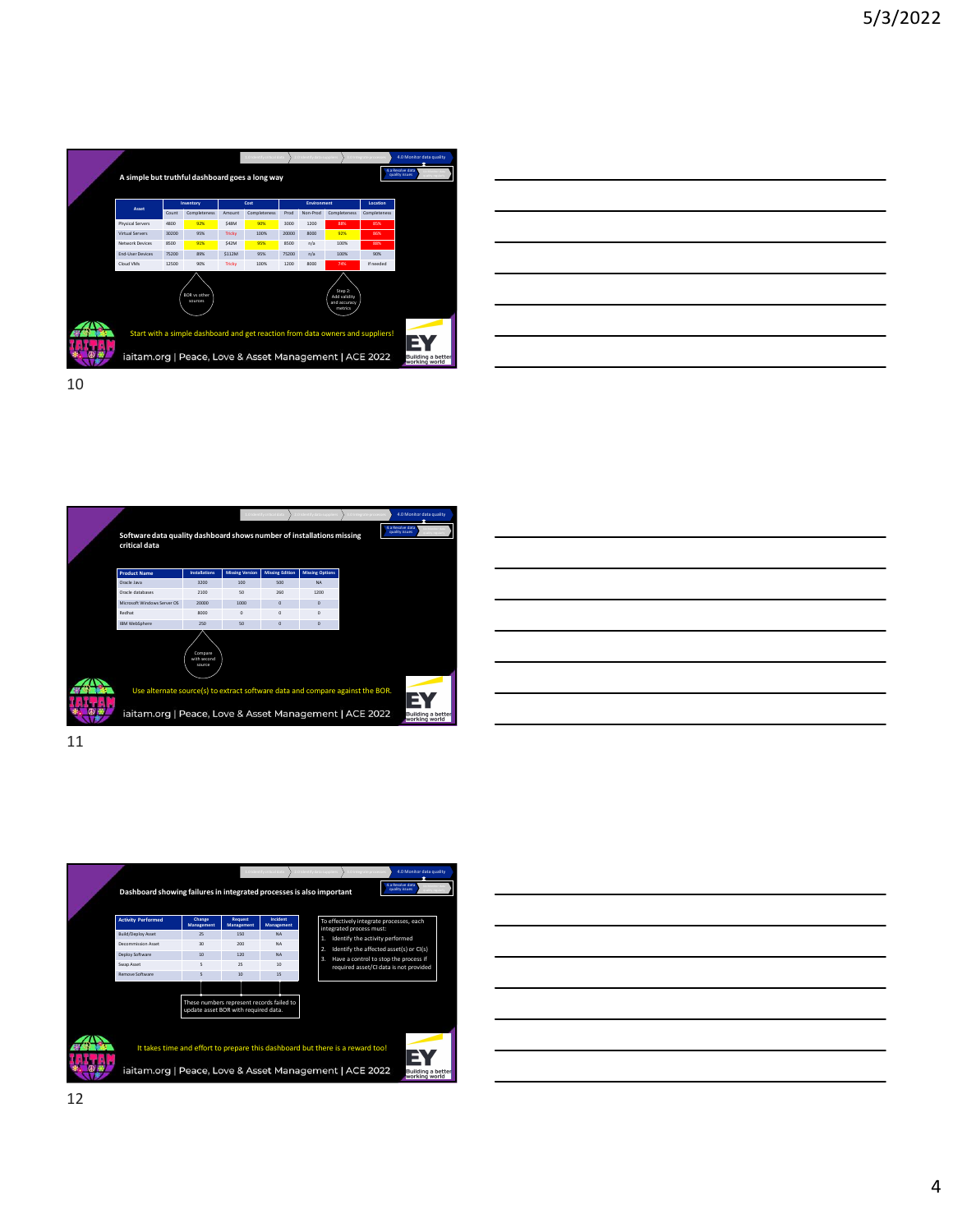

| E                                             |  |  |  |
|-----------------------------------------------|--|--|--|
|                                               |  |  |  |
|                                               |  |  |  |
| luilding a better <b>ing</b><br>vorking world |  |  |  |
|                                               |  |  |  |
|                                               |  |  |  |

Software data quality dashboard shows number of installations missing critical data  $\begin{picture}(100,100) \put(0,0){\line(1,0){100}} \put(10,0){\line(1,0){100}} \put(10,0){\line(1,0){100}} \put(10,0){\line(1,0){100}} \put(10,0){\line(1,0){100}} \put(10,0){\line(1,0){100}} \put(10,0){\line(1,0){100}} \put(10,0){\line(1,0){100}} \put(10,0){\line(1,0){100}} \put(10,0){\line(1,0){100}} \put(10,0){\line(1,0){100$ 1.0 Identify critical data 2.0 2.0 Identify data suppliers 3.0 Integrate processes **4.0 Monitor data quality** 



11



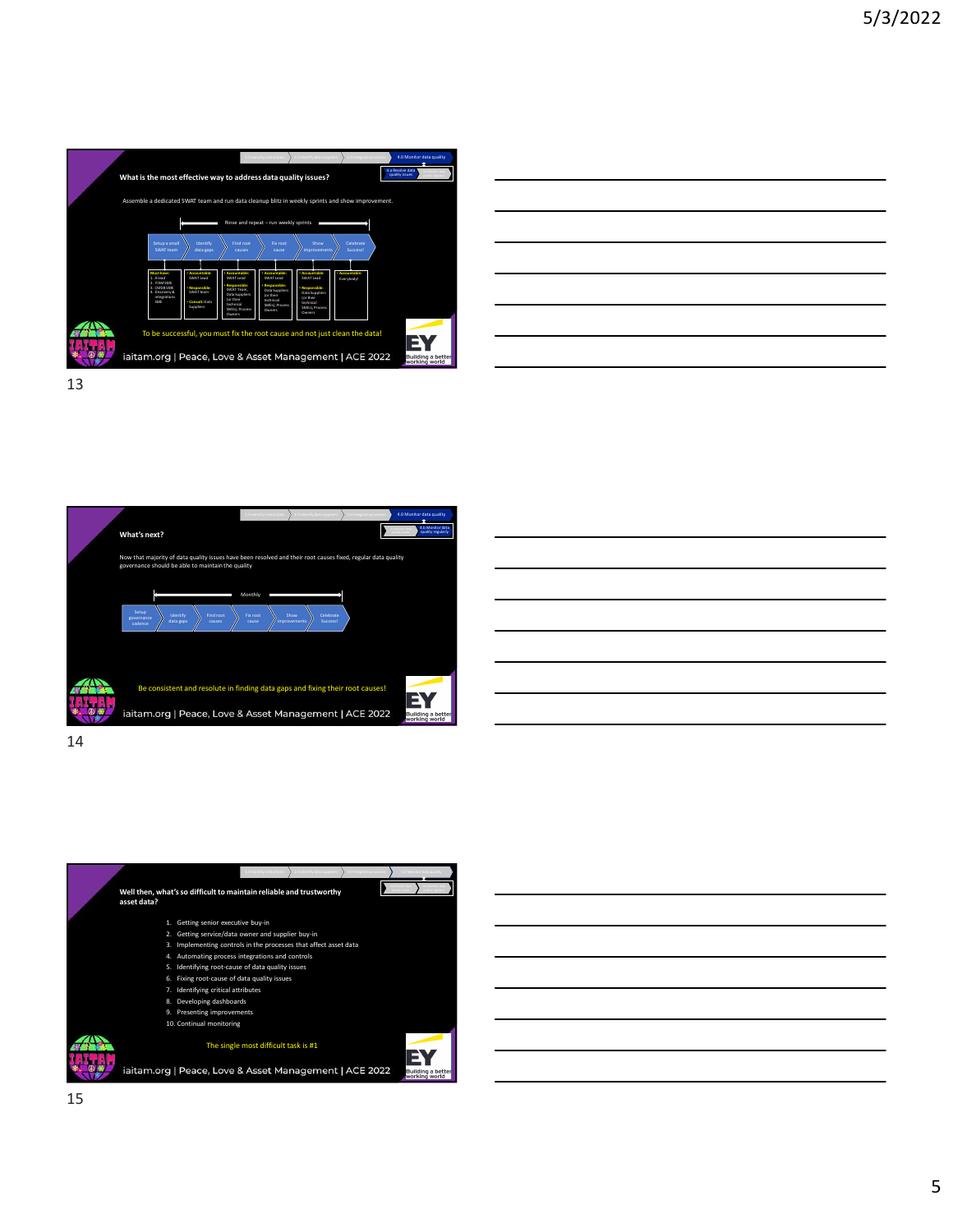

| ues?                                                                             | 4.a Resolve data<br>quality issues<br>M<br>7.7766311 |  |
|----------------------------------------------------------------------------------|------------------------------------------------------|--|
| prints and show improvement.                                                     |                                                      |  |
|                                                                                  |                                                      |  |
| Show<br>Celebrate<br>ovements<br>Success!                                        |                                                      |  |
| itable:<br>Lead<br>· Accountable:<br>Everybody<br>nible:<br>uppliers<br>ir<br>a. |                                                      |  |
| Process<br>t just clean the data!                                                |                                                      |  |
| ment   ACE 2022                                                                  | EY<br>Building a better<br>working world             |  |

What's next?<br>Now that majority of data quality issues have been resolved and their root causes fixed, regular data quality<br>governance should be able to maintain the quality<br> $\frac{\text{Motting}}{\text{average}}$ <br> $\frac{\text{Motting}}{\text{average}}$ <br> $\frac{\text{Motting}}{\text{average}}$ 1.0 Identify critical data 2.0 2.0 Identify data suppliers 3.0 Integrate processes **4.0 Monitor data quality** ow that majority of data quality issues have been resolved and their root causes fixed, reg<br>wernance should be able to maintain the quality  $\frac{\text{Setup}}{\text{governance}}$  dentify  $\left.\right\}$  Find root  $\left.\right\}$  Fix root  $\left.\right\}$  Show colebrate  $\left.\right\}$ Identify  $\left\{\begin{array}{c}\text{Find root} \\ \text{Cuts } \text{cases}\end{array}\right\}$  Fix root  $\left\{\begin{array}{c}\text{Show} \\ \text{converments}\end{array}\right\}$  Celebrate Show **\** Celebrate \  $\left\{\begin{array}{c}\text{Show} \\ \text{improvement} \end{array}\right\}$  Success! Success the method and their root causes fixed, regular data quality issues  $\frac{1}{\text{number of the number of times}}$ <br>
Monthly regular<br>
Translation and the method of the method of the method of the method of the method of the method of the method

14